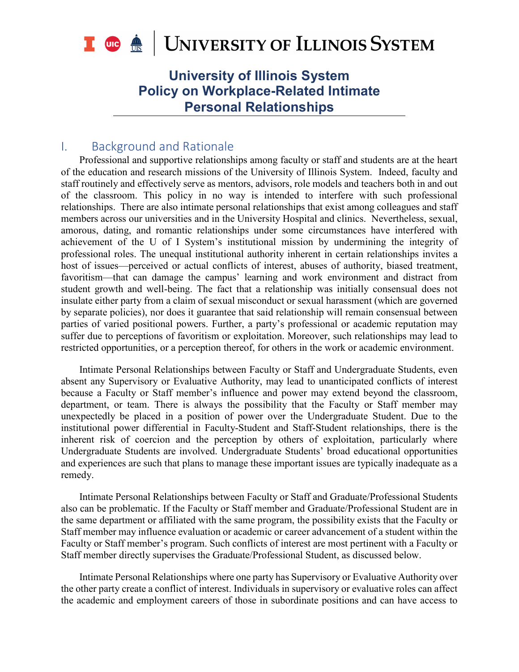

# **University of Illinois System Policy on Workplace-Related Intimate Personal Relationships**

## I. Background and Rationale

Professional and supportive relationships among faculty or staff and students are at the heart of the education and research missions of the University of Illinois System. Indeed, faculty and staff routinely and effectively serve as mentors, advisors, role models and teachers both in and out of the classroom. This policy in no way is intended to interfere with such professional relationships. There are also intimate personal relationships that exist among colleagues and staff members across our universities and in the University Hospital and clinics. Nevertheless, sexual, amorous, dating, and romantic relationships under some circumstances have interfered with achievement of the U of I System's institutional mission by undermining the integrity of professional roles. The unequal institutional authority inherent in certain relationships invites a host of issues—perceived or actual conflicts of interest, abuses of authority, biased treatment, favoritism—that can damage the campus' learning and work environment and distract from student growth and well-being. The fact that a relationship was initially consensual does not insulate either party from a claim of sexual misconduct or sexual harassment (which are governed by separate policies), nor does it guarantee that said relationship will remain consensual between parties of varied positional powers. Further, a party's professional or academic reputation may suffer due to perceptions of favoritism or exploitation. Moreover, such relationships may lead to restricted opportunities, or a perception thereof, for others in the work or academic environment.

Intimate Personal Relationships between Faculty or Staff and Undergraduate Students, even absent any Supervisory or Evaluative Authority, may lead to unanticipated conflicts of interest because a Faculty or Staff member's influence and power may extend beyond the classroom, department, or team. There is always the possibility that the Faculty or Staff member may unexpectedly be placed in a position of power over the Undergraduate Student. Due to the institutional power differential in Faculty-Student and Staff-Student relationships, there is the inherent risk of coercion and the perception by others of exploitation, particularly where Undergraduate Students are involved. Undergraduate Students' broad educational opportunities and experiences are such that plans to manage these important issues are typically inadequate as a remedy.

Intimate Personal Relationships between Faculty or Staff and Graduate/Professional Students also can be problematic. If the Faculty or Staff member and Graduate/Professional Student are in the same department or affiliated with the same program, the possibility exists that the Faculty or Staff member may influence evaluation or academic or career advancement of a student within the Faculty or Staff member's program. Such conflicts of interest are most pertinent with a Faculty or Staff member directly supervises the Graduate/Professional Student, as discussed below.

Intimate Personal Relationships where one party has Supervisory or Evaluative Authority over the other party create a conflict of interest. Individuals in supervisory or evaluative roles can affect the academic and employment careers of those in subordinate positions and can have access to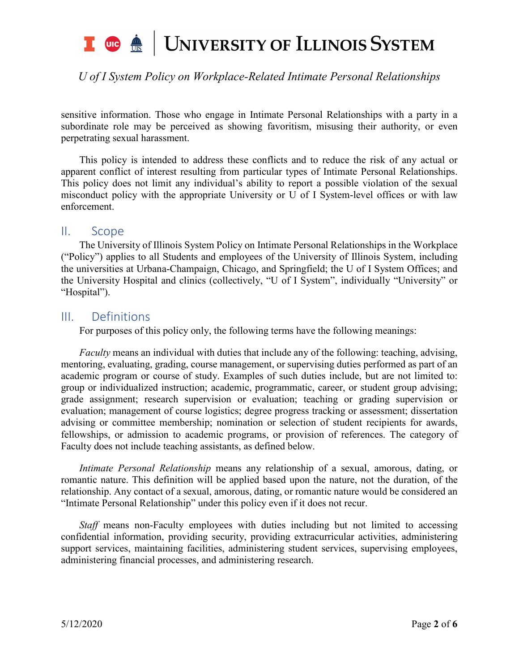## UNIVERSITY OF ILLINOIS SYSTEM T uie <u>de</u>

## *U of I System Policy on Workplace-Related Intimate Personal Relationships*

sensitive information. Those who engage in Intimate Personal Relationships with a party in a subordinate role may be perceived as showing favoritism, misusing their authority, or even perpetrating sexual harassment.

This policy is intended to address these conflicts and to reduce the risk of any actual or apparent conflict of interest resulting from particular types of Intimate Personal Relationships. This policy does not limit any individual's ability to report a possible violation of the sexual misconduct policy with the appropriate University or U of I System-level offices or with law enforcement.

### II. Scope

The University of Illinois System Policy on Intimate Personal Relationships in the Workplace ("Policy") applies to all Students and employees of the University of Illinois System, including the universities at Urbana-Champaign, Chicago, and Springfield; the U of I System Offices; and the University Hospital and clinics (collectively, "U of I System", individually "University" or "Hospital").

### III. Definitions

For purposes of this policy only, the following terms have the following meanings:

*Faculty* means an individual with duties that include any of the following: teaching, advising, mentoring, evaluating, grading, course management, or supervising duties performed as part of an academic program or course of study. Examples of such duties include, but are not limited to: group or individualized instruction; academic, programmatic, career, or student group advising; grade assignment; research supervision or evaluation; teaching or grading supervision or evaluation; management of course logistics; degree progress tracking or assessment; dissertation advising or committee membership; nomination or selection of student recipients for awards, fellowships, or admission to academic programs, or provision of references. The category of Faculty does not include teaching assistants, as defined below.

*Intimate Personal Relationship* means any relationship of a sexual, amorous, dating, or romantic nature. This definition will be applied based upon the nature, not the duration, of the relationship. Any contact of a sexual, amorous, dating, or romantic nature would be considered an "Intimate Personal Relationship" under this policy even if it does not recur.

*Staff* means non-Faculty employees with duties including but not limited to accessing confidential information, providing security, providing extracurricular activities, administering support services, maintaining facilities, administering student services, supervising employees, administering financial processes, and administering research.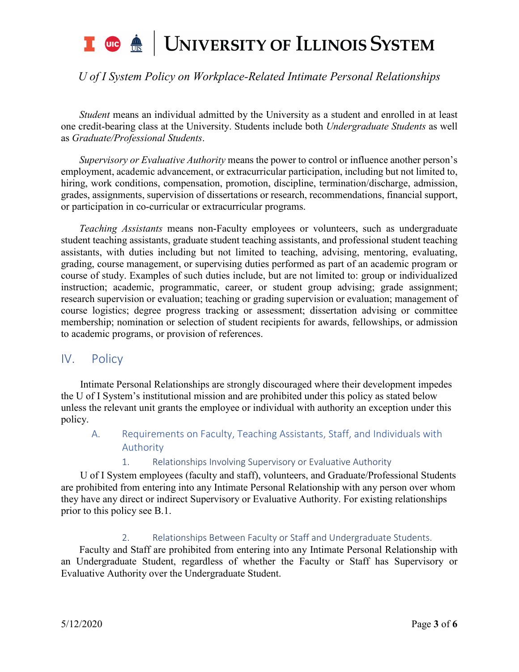# UNIVERSITY OF ILLINOIS SYSTEM T uic <u>of</u>

# *U of I System Policy on Workplace-Related Intimate Personal Relationships*

*Student* means an individual admitted by the University as a student and enrolled in at least one credit-bearing class at the University. Students include both *Undergraduate Students* as well as *Graduate/Professional Students*.

*Supervisory or Evaluative Authority* means the power to control or influence another person's employment, academic advancement, or extracurricular participation, including but not limited to, hiring, work conditions, compensation, promotion, discipline, termination/discharge, admission, grades, assignments, supervision of dissertations or research, recommendations, financial support, or participation in co-curricular or extracurricular programs.

*Teaching Assistants* means non-Faculty employees or volunteers, such as undergraduate student teaching assistants, graduate student teaching assistants, and professional student teaching assistants, with duties including but not limited to teaching, advising, mentoring, evaluating, grading, course management, or supervising duties performed as part of an academic program or course of study. Examples of such duties include, but are not limited to: group or individualized instruction; academic, programmatic, career, or student group advising; grade assignment; research supervision or evaluation; teaching or grading supervision or evaluation; management of course logistics; degree progress tracking or assessment; dissertation advising or committee membership; nomination or selection of student recipients for awards, fellowships, or admission to academic programs, or provision of references.

### IV. Policy

Intimate Personal Relationships are strongly discouraged where their development impedes the U of I System's institutional mission and are prohibited under this policy as stated below unless the relevant unit grants the employee or individual with authority an exception under this policy.

### A. Requirements on Faculty, Teaching Assistants, Staff, and Individuals with Authority

1. Relationships Involving Supervisory or Evaluative Authority

U of I System employees (faculty and staff), volunteers, and Graduate/Professional Students are prohibited from entering into any Intimate Personal Relationship with any person over whom they have any direct or indirect Supervisory or Evaluative Authority. For existing relationships prior to this policy see B.1.

#### 2. Relationships Between Faculty or Staff and Undergraduate Students.

Faculty and Staff are prohibited from entering into any Intimate Personal Relationship with an Undergraduate Student, regardless of whether the Faculty or Staff has Supervisory or Evaluative Authority over the Undergraduate Student.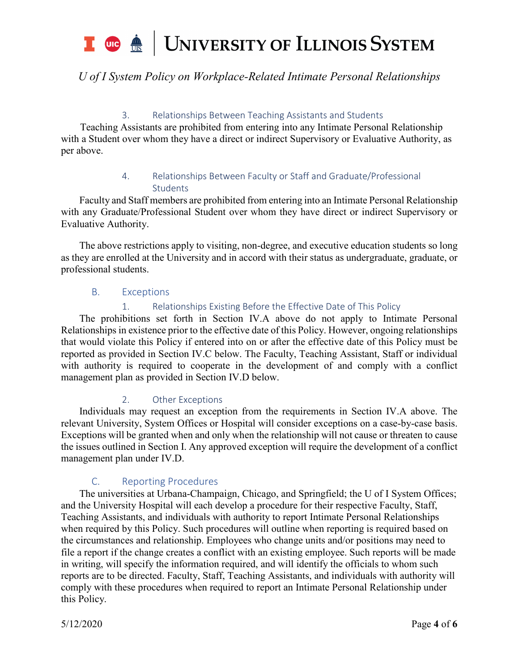## UNIVERSITY OF ILLINOIS SYSTEM T uie <u>on</u>

# *U of I System Policy on Workplace-Related Intimate Personal Relationships*

### 3. Relationships Between Teaching Assistants and Students

Teaching Assistants are prohibited from entering into any Intimate Personal Relationship with a Student over whom they have a direct or indirect Supervisory or Evaluative Authority, as per above.

### 4. Relationships Between Faculty or Staff and Graduate/Professional **Students**

Faculty and Staff members are prohibited from entering into an Intimate Personal Relationship with any Graduate/Professional Student over whom they have direct or indirect Supervisory or Evaluative Authority.

The above restrictions apply to visiting, non-degree, and executive education students so long as they are enrolled at the University and in accord with their status as undergraduate, graduate, or professional students.

#### B. Exceptions

#### 1. Relationships Existing Before the Effective Date of This Policy

The prohibitions set forth in Section IV.A above do not apply to Intimate Personal Relationships in existence prior to the effective date of this Policy. However, ongoing relationships that would violate this Policy if entered into on or after the effective date of this Policy must be reported as provided in Section IV.C below. The Faculty, Teaching Assistant, Staff or individual with authority is required to cooperate in the development of and comply with a conflict management plan as provided in Section IV.D below.

#### 2. Other Exceptions

Individuals may request an exception from the requirements in Section IV.A above. The relevant University, System Offices or Hospital will consider exceptions on a case-by-case basis. Exceptions will be granted when and only when the relationship will not cause or threaten to cause the issues outlined in Section I. Any approved exception will require the development of a conflict management plan under IV.D.

### C. Reporting Procedures

The universities at Urbana-Champaign, Chicago, and Springfield; the U of I System Offices; and the University Hospital will each develop a procedure for their respective Faculty, Staff, Teaching Assistants, and individuals with authority to report Intimate Personal Relationships when required by this Policy. Such procedures will outline when reporting is required based on the circumstances and relationship. Employees who change units and/or positions may need to file a report if the change creates a conflict with an existing employee. Such reports will be made in writing, will specify the information required, and will identify the officials to whom such reports are to be directed. Faculty, Staff, Teaching Assistants, and individuals with authority will comply with these procedures when required to report an Intimate Personal Relationship under this Policy.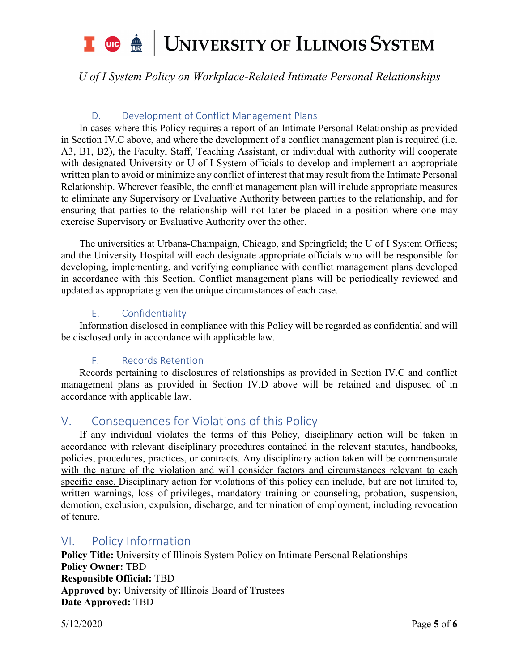# UNIVERSITY OF ILLINOIS SYSTEM T uie <u>de</u>

# *U of I System Policy on Workplace-Related Intimate Personal Relationships*

### D. Development of Conflict Management Plans

In cases where this Policy requires a report of an Intimate Personal Relationship as provided in Section IV.C above, and where the development of a conflict management plan is required (i.e. A3, B1, B2), the Faculty, Staff, Teaching Assistant, or individual with authority will cooperate with designated University or U of I System officials to develop and implement an appropriate written plan to avoid or minimize any conflict of interest that may result from the Intimate Personal Relationship. Wherever feasible, the conflict management plan will include appropriate measures to eliminate any Supervisory or Evaluative Authority between parties to the relationship, and for ensuring that parties to the relationship will not later be placed in a position where one may exercise Supervisory or Evaluative Authority over the other.

The universities at Urbana-Champaign, Chicago, and Springfield; the U of I System Offices; and the University Hospital will each designate appropriate officials who will be responsible for developing, implementing, and verifying compliance with conflict management plans developed in accordance with this Section. Conflict management plans will be periodically reviewed and updated as appropriate given the unique circumstances of each case.

### E. Confidentiality

Information disclosed in compliance with this Policy will be regarded as confidential and will be disclosed only in accordance with applicable law.

#### F. Records Retention

Records pertaining to disclosures of relationships as provided in Section IV.C and conflict management plans as provided in Section IV.D above will be retained and disposed of in accordance with applicable law.

## V. Consequences for Violations of this Policy

If any individual violates the terms of this Policy, disciplinary action will be taken in accordance with relevant disciplinary procedures contained in the relevant statutes, handbooks, policies, procedures, practices, or contracts. Any disciplinary action taken will be commensurate with the nature of the violation and will consider factors and circumstances relevant to each specific case. Disciplinary action for violations of this policy can include, but are not limited to, written warnings, loss of privileges, mandatory training or counseling, probation, suspension, demotion, exclusion, expulsion, discharge, and termination of employment, including revocation of tenure.

### VI. Policy Information

**Policy Title:** University of Illinois System Policy on Intimate Personal Relationships **Policy Owner:** TBD **Responsible Official:** TBD **Approved by:** University of Illinois Board of Trustees **Date Approved:** TBD